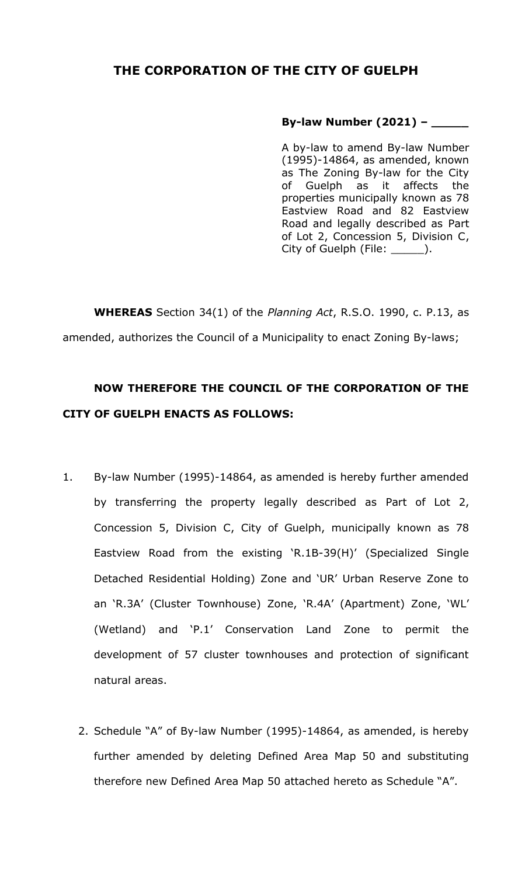## **THE CORPORATION OF THE CITY OF GUELPH**

## **By-law Number (2021) – \_\_\_\_\_**

A by-law to amend By-law Number (1995)-14864, as amended, known as The Zoning By-law for the City of Guelph as it affects the properties municipally known as 78 Eastview Road and 82 Eastview Road and legally described as Part of Lot 2, Concession 5, Division C, City of Guelph (File: \_\_\_\_\_\_\_).

**WHEREAS** Section 34(1) of the *Planning Act*, R.S.O. 1990, c. P.13, as amended, authorizes the Council of a Municipality to enact Zoning By-laws;

## **NOW THEREFORE THE COUNCIL OF THE CORPORATION OF THE CITY OF GUELPH ENACTS AS FOLLOWS:**

- 1. By-law Number (1995)-14864, as amended is hereby further amended by transferring the property legally described as Part of Lot 2, Concession 5, Division C, City of Guelph, municipally known as 78 Eastview Road from the existing 'R.1B-39(H)' (Specialized Single Detached Residential Holding) Zone and 'UR' Urban Reserve Zone to an 'R.3A' (Cluster Townhouse) Zone, 'R.4A' (Apartment) Zone, 'WL' (Wetland) and 'P.1' Conservation Land Zone to permit the development of 57 cluster townhouses and protection of significant natural areas.
	- 2. Schedule "A" of By-law Number (1995)-14864, as amended, is hereby further amended by deleting Defined Area Map 50 and substituting therefore new Defined Area Map 50 attached hereto as Schedule "A".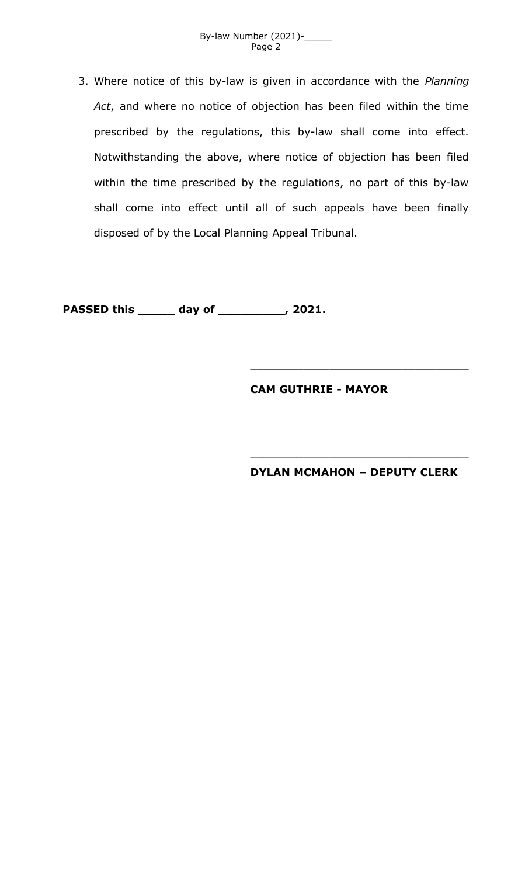

3. Where notice of this by-law is given in accordance with the *Planning Act*, and where no notice of objection has been filed within the time prescribed by the regulations, this by-law shall come into effect. Notwithstanding the above, where notice of objection has been filed within the time prescribed by the regulations, no part of this by-law shall come into effect until all of such appeals have been finally disposed of by the Local Planning Appeal Tribunal.

**PASSED this \_\_\_\_\_ day of \_\_\_\_\_\_\_\_\_, 2021.**

## **CAM GUTHRIE - MAYOR**

**DYLAN MCMAHON – DEPUTY CLERK**

\_\_\_\_\_\_\_\_\_\_\_\_\_\_\_\_\_\_\_\_\_\_\_\_\_\_\_\_\_\_\_\_\_

\_\_\_\_\_\_\_\_\_\_\_\_\_\_\_\_\_\_\_\_\_\_\_\_\_\_\_\_\_\_\_\_\_